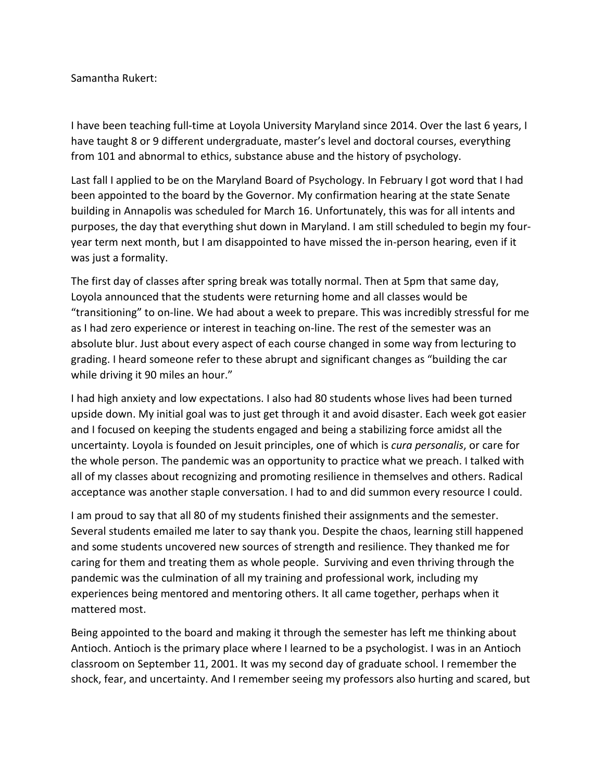Samantha Rukert:

I have been teaching full-time at Loyola University Maryland since 2014. Over the last 6 years, I have taught 8 or 9 different undergraduate, master's level and doctoral courses, everything from 101 and abnormal to ethics, substance abuse and the history of psychology.

Last fall I applied to be on the Maryland Board of Psychology. In February I got word that I had been appointed to the board by the Governor. My confirmation hearing at the state Senate building in Annapolis was scheduled for March 16. Unfortunately, this was for all intents and purposes, the day that everything shut down in Maryland. I am still scheduled to begin my fouryear term next month, but I am disappointed to have missed the in-person hearing, even if it was just a formality.

The first day of classes after spring break was totally normal. Then at 5pm that same day, Loyola announced that the students were returning home and all classes would be "transitioning" to on-line. We had about a week to prepare. This was incredibly stressful for me as I had zero experience or interest in teaching on-line. The rest of the semester was an absolute blur. Just about every aspect of each course changed in some way from lecturing to grading. I heard someone refer to these abrupt and significant changes as "building the car while driving it 90 miles an hour."

I had high anxiety and low expectations. I also had 80 students whose lives had been turned upside down. My initial goal was to just get through it and avoid disaster. Each week got easier and I focused on keeping the students engaged and being a stabilizing force amidst all the uncertainty. Loyola is founded on Jesuit principles, one of which is *cura personalis*, or care for the whole person. The pandemic was an opportunity to practice what we preach. I talked with all of my classes about recognizing and promoting resilience in themselves and others. Radical acceptance was another staple conversation. I had to and did summon every resource I could.

I am proud to say that all 80 of my students finished their assignments and the semester. Several students emailed me later to say thank you. Despite the chaos, learning still happened and some students uncovered new sources of strength and resilience. They thanked me for caring for them and treating them as whole people. Surviving and even thriving through the pandemic was the culmination of all my training and professional work, including my experiences being mentored and mentoring others. It all came together, perhaps when it mattered most.

Being appointed to the board and making it through the semester has left me thinking about Antioch. Antioch is the primary place where I learned to be a psychologist. I was in an Antioch classroom on September 11, 2001. It was my second day of graduate school. I remember the shock, fear, and uncertainty. And I remember seeing my professors also hurting and scared, but